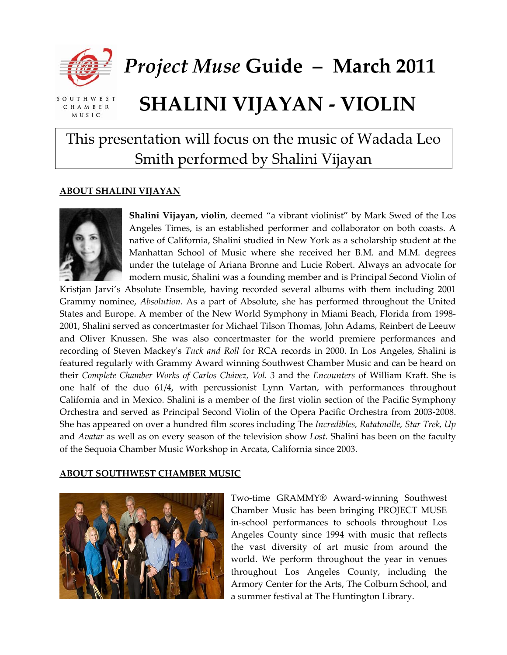

*Project Muse* **Guide – March 2011**

SOUTHWEST CHAMBER **MUSIC** 

# **SHALINI VIJAYAN ‐ VIOLIN**

## This presentation will focus on the music of Wadada Leo Smith performed by Shalini Vijayan

#### **ABOUT SHALINI VIJAYAN**



**Shalini Vijayan, violin**, deemed "a vibrant violinist" by Mark Swed of the Los Angeles Times, is an established performer and collaborator on both coasts. A native of California, Shalini studied in New York as a scholarship student at the Manhattan School of Music where she received her B.M. and M.M. degrees under the tutelage of Ariana Bronne and Lucie Robert. Always an advocate for modern music, Shalini was a founding member and is Principal Second Violin of

Kristjan Jarvi's Absolute Ensemble, having recorded several albums with them including 2001 Grammy nominee, *Absolution*. As a part of Absolute, she has performed throughout the United States and Europe. A member of the New World Symphony in Miami Beach, Florida from 1998‐ 2001, Shalini served as concertmaster for Michael Tilson Thomas, John Adams, Reinbert de Leeuw and Oliver Knussen. She was also concertmaster for the world premiere performances and recording of Steven Mackeyʹs *Tuck and Roll* for RCA records in 2000. In Los Angeles, Shalini is featured regularly with Grammy Award winning Southwest Chamber Music and can be heard on their *Complete Chamber Works of Carlos Chávez, Vol. 3* and the *Encounters* of William Kraft. She is one half of the duo 61/4, with percussionist Lynn Vartan, with performances throughout California and in Mexico. Shalini is a member of the first violin section of the Pacific Symphony Orchestra and served as Principal Second Violin of the Opera Pacific Orchestra from 2003‐2008. She has appeared on over a hundred film scores including The *Incredibles, Ratatouille, Star Trek, Up* and *Avatar* as well as on every season of the television show *Lost*. Shalini has been on the faculty of the Sequoia Chamber Music Workshop in Arcata, California since 2003.

#### **ABOUT SOUTHWEST CHAMBER MUSIC**



Two‐time GRAMMY® Award‐winning Southwest Chamber Music has been bringing PROJECT MUSE in‐school performances to schools throughout Los Angeles County since 1994 with music that reflects the vast diversity of art music from around the world. We perform throughout the year in venues throughout Los Angeles County, including the Armory Center for the Arts, The Colburn School, and a summer festival at The Huntington Library.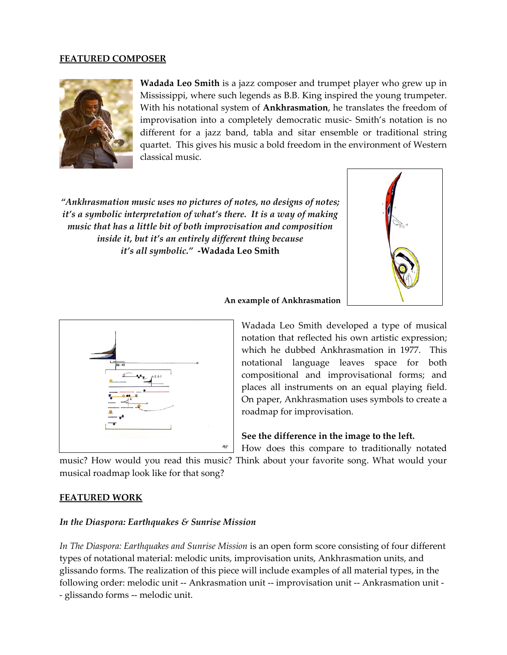#### **FEATURED COMPOSER**



**Wadada Leo Smith** is a jazz composer and trumpet player who grew up in Mississippi, where such legends as B.B. King inspired the young trumpeter. With his notational system of **Ankhrasmation**, he translates the freedom of improvisation into a completely democratic music‐ Smith's notation is no different for a jazz band, tabla and sitar ensemble or traditional string quartet. This gives his music a bold freedom in the environment of Western classical music.

*"Ankhrasmation music uses no pictures of notes, no designs of notes; it's a symbolic interpretation of what's there. It is a way of making music that has a little bit of both improvisation and composition inside it, but it's an entirely different thing because it's all symbolic."* **‐Wadada Leo Smith**







Wadada Leo Smith developed a type of musical notation that reflected his own artistic expression; which he dubbed Ankhrasmation in 1977. This notational language leaves space for both compositional and improvisational forms; and places all instruments on an equal playing field. On paper, Ankhrasmation uses symbols to create a roadmap for improvisation.

#### **See the difference in the image to the left.**

How does this compare to traditionally notated

music? How would you read this music? Think about your favorite song. What would your musical roadmap look like for that song?

#### **FEATURED WORK**

#### *In the Diaspora: Earthquakes & Sunrise Mission*

*In The Diaspora: Earthquakes and Sunrise Mission* is an open form score consisting of four different types of notational material: melodic units, improvisation units, Ankhrasmation units, and glissando forms. The realization of this piece will include examples of all material types, in the following order: melodic unit ‐‐ Ankrasmation unit ‐‐ improvisation unit ‐‐ Ankrasmation unit ‐ ‐ glissando forms ‐‐ melodic unit.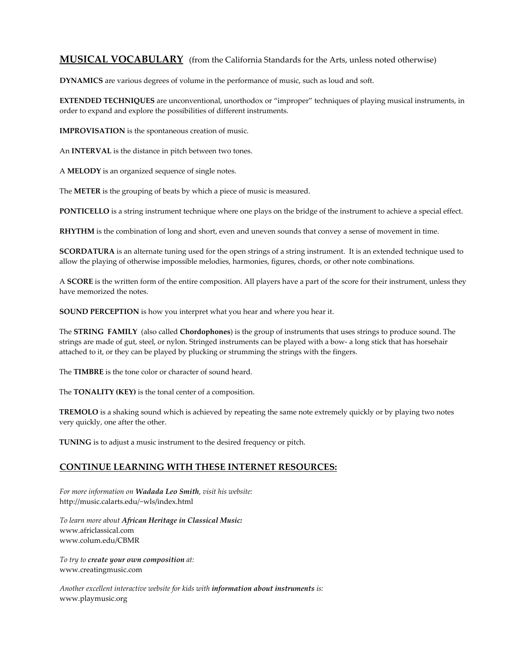#### **MUSICAL VOCABULARY** (from the California Standards for the Arts, unless noted otherwise)

**DYNAMICS** are various degrees of volume in the performance of music, such as loud and soft.

**EXTENDED TECHNIQUES** are unconventional, unorthodox or "improper" techniques of playing musical instruments, in order to expand and explore the possibilities of different instruments.

**IMPROVISATION** is the spontaneous creation of music.

An **INTERVAL** is the distance in pitch between two tones.

A **MELODY** is an organized sequence of single notes.

The **METER** is the grouping of beats by which a piece of music is measured.

**PONTICELLO** is a string instrument technique where one plays on the bridge of the instrument to achieve a special effect.

**RHYTHM** is the combination of long and short, even and uneven sounds that convey a sense of movement in time.

**SCORDATURA** is an alternate tuning used for the open strings of a string instrument. It is an extended technique used to allow the playing of otherwise impossible melodies, harmonies, figures, chords, or other note combinations.

A **SCORE** is the written form of the entire composition. All players have a part of the score for their instrument, unless they have memorized the notes.

**SOUND PERCEPTION** is how you interpret what you hear and where you hear it.

The **STRING FAMILY** (also called **Chordophones**) is the group of instruments that uses strings to produce sound. The strings are made of gut, steel, or nylon. Stringed instruments can be played with a bow‐ a long stick that has horsehair attached to it, or they can be played by plucking or strumming the strings with the fingers.

The **TIMBRE** is the tone color or character of sound heard.

The **TONALITY (KEY)** is the tonal center of a composition.

**TREMOLO** is a shaking sound which is achieved by repeating the same note extremely quickly or by playing two notes very quickly, one after the other.

**TUNING** is to adjust a music instrument to the desired frequency or pitch.

#### **CONTINUE LEARNING WITH THESE INTERNET RESOURCES:**

*For more information on Wadada Leo Smith, visit his website:* http://music.calarts.edu/~wls/index.html

*To learn more about African Heritage in Classical Music:* www.africlassical.com www.colum.edu/CBMR

*To try to create your own composition at:* www.creatingmusic.com

*Another excellent interactive website for kids with information about instruments is:* www.playmusic.org